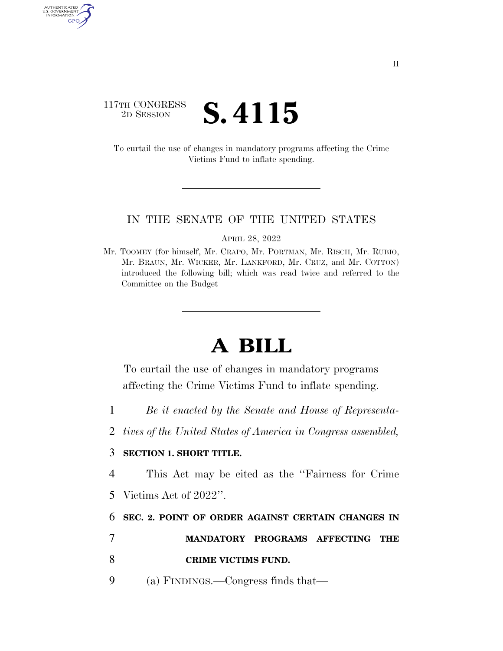## 117TH CONGRESS<br>2D SESSION **S. 4115**

AUTHENTICATED<br>U.S. GOVERNMENT<br>INFORMATION GPO

> To curtail the use of changes in mandatory programs affecting the Crime Victims Fund to inflate spending.

## IN THE SENATE OF THE UNITED STATES

APRIL 28, 2022

Mr. TOOMEY (for himself, Mr. CRAPO, Mr. PORTMAN, Mr. RISCH, Mr. RUBIO, Mr. BRAUN, Mr. WICKER, Mr. LANKFORD, Mr. CRUZ, and Mr. COTTON) introduced the following bill; which was read twice and referred to the Committee on the Budget

## **A BILL**

To curtail the use of changes in mandatory programs affecting the Crime Victims Fund to inflate spending.

- 1 *Be it enacted by the Senate and House of Representa-*
- 2 *tives of the United States of America in Congress assembled,*

## 3 **SECTION 1. SHORT TITLE.**

4 This Act may be cited as the ''Fairness for Crime 5 Victims Act of 2022''.

6 **SEC. 2. POINT OF ORDER AGAINST CERTAIN CHANGES IN** 

7 **MANDATORY PROGRAMS AFFECTING THE** 

8 **CRIME VICTIMS FUND.** 

9 (a) FINDINGS.—Congress finds that—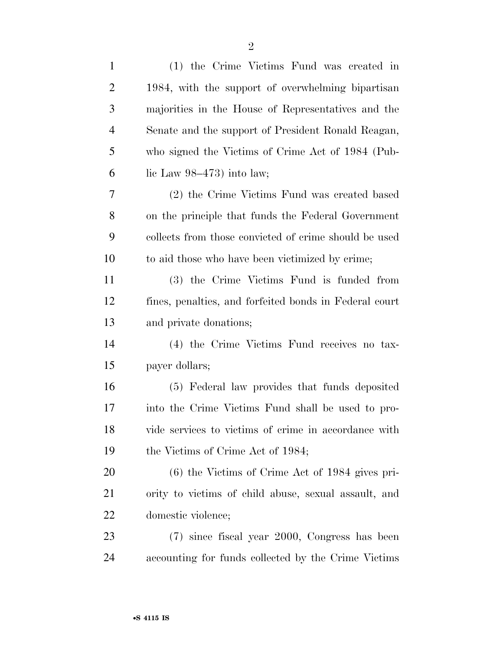| $\mathbf{1}$   | (1) the Crime Victims Fund was created in              |
|----------------|--------------------------------------------------------|
| $\overline{2}$ | 1984, with the support of overwhelming bipartisan      |
| 3              | majorities in the House of Representatives and the     |
| 4              | Senate and the support of President Ronald Reagan,     |
| 5              | who signed the Victims of Crime Act of 1984 (Pub-      |
| 6              | lic Law $98-473$ ) into law;                           |
| 7              | (2) the Crime Victims Fund was created based           |
| 8              | on the principle that funds the Federal Government     |
| 9              | collects from those convicted of crime should be used  |
| 10             | to aid those who have been victimized by crime;        |
| 11             | (3) the Crime Victims Fund is funded from              |
| 12             | fines, penalties, and forfeited bonds in Federal court |
| 13             | and private donations;                                 |
| 14             | (4) the Crime Victims Fund receives no tax-            |
| 15             | payer dollars;                                         |
| 16             | (5) Federal law provides that funds deposited          |
| 17             | into the Crime Victims Fund shall be used to pro-      |
| 18             | vide services to victims of crime in accordance with   |
| 19             | the Victims of Crime Act of 1984;                      |
| <b>20</b>      | $(6)$ the Victims of Crime Act of 1984 gives pri-      |
| 21             | ority to victims of child abuse, sexual assault, and   |
| 22             | domestic violence;                                     |
| 23             | (7) since fiscal year 2000, Congress has been          |
| 24             | accounting for funds collected by the Crime Victims    |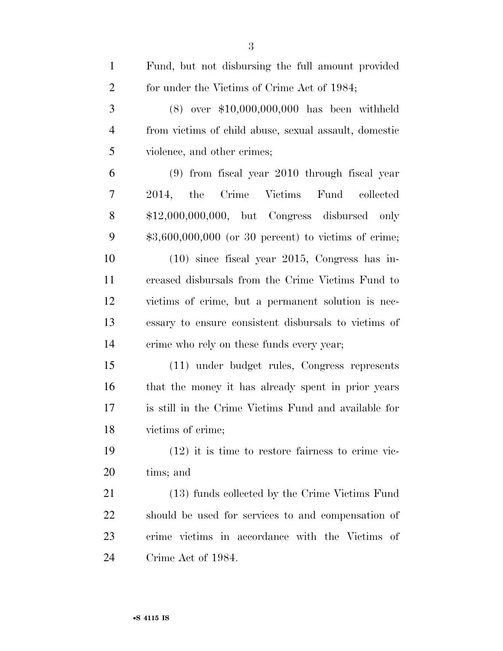| $\mathbf{1}$   | Fund, but not disbursing the full amount provided     |
|----------------|-------------------------------------------------------|
| $\overline{2}$ | for under the Victims of Crime Act of 1984;           |
| 3              | $(8)$ over \$10,000,000,000 has been withheld         |
| $\overline{4}$ | from victims of child abuse, sexual assault, domestic |
| 5              | violence, and other crimes;                           |
| 6              | $(9)$ from fiscal year 2010 through fiscal year       |
| 7              | Crime Victims Fund collected<br>2014, the             |
| 8              | $$12,000,000,000$ , but Congress disbursed only       |
| 9              | $$3,600,000,000$ (or 30 percent) to victims of crime; |
| 10             | $(10)$ since fiscal year 2015, Congress has in-       |
| 11             | creased disbursals from the Crime Victims Fund to     |
| 12             | victims of crime, but a permanent solution is nec-    |
| 13             | essary to ensure consistent disbursals to victims of  |
| 14             | crime who rely on these funds every year;             |
| 15             | (11) under budget rules, Congress represents          |
| 16             | that the money it has already spent in prior years    |
| 17             | is still in the Crime Victims Fund and available for  |
| 18             | victims of crime;                                     |
| 19             | $(12)$ it is time to restore fairness to crime vic-   |
| <b>20</b>      | tims; and                                             |
| 21             | (13) funds collected by the Crime Victims Fund        |
| 22             | should be used for services to and compensation of    |
| 23             | crime victims in accordance with the Victims of       |
| 24             | Crime Act of 1984.                                    |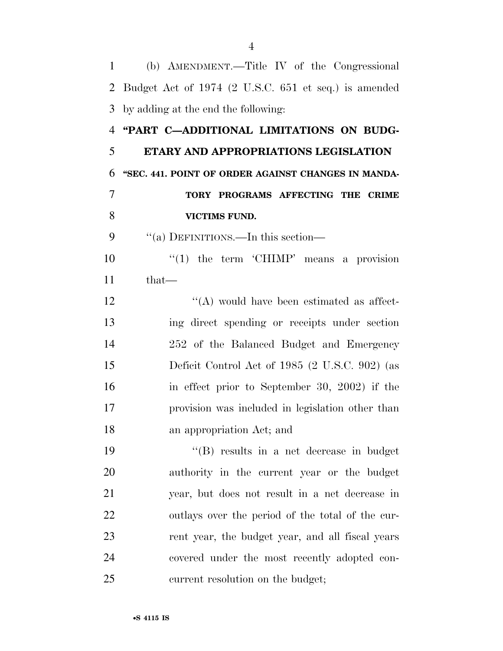(b) AMENDMENT.—Title IV of the Congressional Budget Act of 1974 (2 U.S.C. 651 et seq.) is amended by adding at the end the following: **''PART C—ADDITIONAL LIMITATIONS ON BUDG- ETARY AND APPROPRIATIONS LEGISLATION ''SEC. 441. POINT OF ORDER AGAINST CHANGES IN MANDA- TORY PROGRAMS AFFECTING THE CRIME VICTIMS FUND.**  9 "(a) DEFINITIONS.—In this section—  $\frac{10}{10}$  the term 'CHIMP' means a provision that—  $'$ (A) would have been estimated as affect- ing direct spending or receipts under section 252 of the Balanced Budget and Emergency Deficit Control Act of 1985 (2 U.S.C. 902) (as in effect prior to September 30, 2002) if the provision was included in legislation other than an appropriation Act; and ''(B) results in a net decrease in budget authority in the current year or the budget year, but does not result in a net decrease in outlays over the period of the total of the cur- rent year, the budget year, and all fiscal years covered under the most recently adopted con-current resolution on the budget;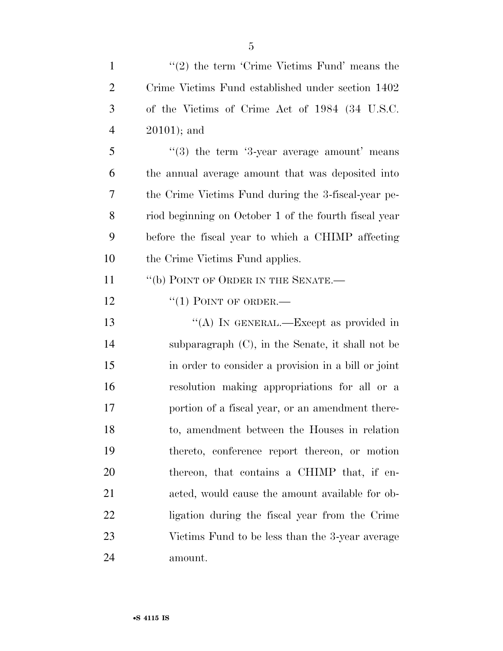| $\mathbf{1}$   | $\lq(2)$ the term 'Crime Victims Fund' means the                   |
|----------------|--------------------------------------------------------------------|
| 2              | Crime Victims Fund established under section 1402                  |
| 3              | of the Victims of Crime Act of 1984 (34 U.S.C.                     |
| $\overline{4}$ | $20101$ ; and                                                      |
| 5              | $\cdot\cdot(3)$ the term $\cdot\cdot3$ -year average amount' means |
| 6              | the annual average amount that was deposited into                  |
| 7              | the Crime Victims Fund during the 3-fiscal-year pe-                |
| 8              | riod beginning on October 1 of the fourth fiscal year              |
| 9              | before the fiscal year to which a CHIMP affecting                  |
| 10             | the Crime Victims Fund applies.                                    |
| 11             | "(b) POINT OF ORDER IN THE SENATE.-                                |
| 12             | $``(1)$ POINT OF ORDER.—                                           |
| 13             | "(A) IN GENERAL.—Except as provided in                             |
| 14             | subparagraph $(C)$ , in the Senate, it shall not be                |
| 15             | in order to consider a provision in a bill or joint                |
| 16             | resolution making appropriations for all or a                      |
| 17             | portion of a fiscal year, or an amendment there-                   |
| 18             | to, amendment between the Houses in relation                       |
| 19             | thereto, conference report thereon, or motion                      |
| 20             | thereon, that contains a CHIMP that, if en-                        |
| 21             | acted, would cause the amount available for ob-                    |
| 22             | ligation during the fiscal year from the Crime                     |
| 23             | Victims Fund to be less than the 3-year average                    |
| 24             | amount.                                                            |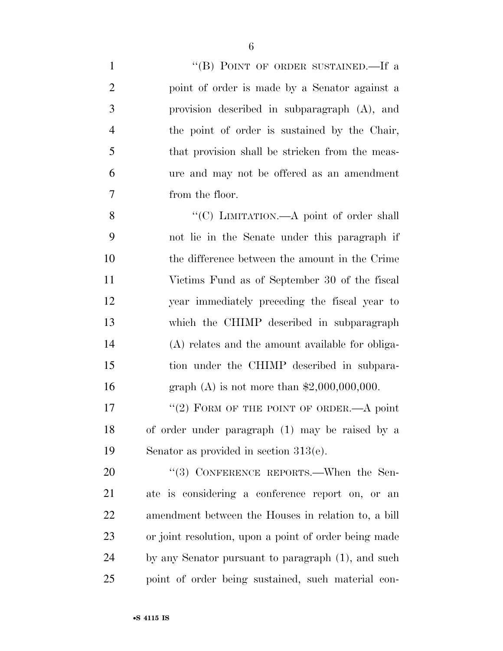| $\mathbf{1}$   | "(B) POINT OF ORDER SUSTAINED.—If a                   |
|----------------|-------------------------------------------------------|
| $\overline{2}$ | point of order is made by a Senator against a         |
| 3              | provision described in subparagraph (A), and          |
| $\overline{4}$ | the point of order is sustained by the Chair,         |
| 5              | that provision shall be stricken from the meas-       |
| 6              | ure and may not be offered as an amendment            |
| $\overline{7}$ | from the floor.                                       |
| 8              | "(C) LIMITATION.—A point of order shall               |
| 9              | not lie in the Senate under this paragraph if         |
| 10             | the difference between the amount in the Crime        |
| 11             | Victims Fund as of September 30 of the fiscal         |
| 12             | year immediately preceding the fiscal year to         |
| 13             | which the CHIMP described in subparagraph             |
| 14             | (A) relates and the amount available for obliga-      |
| 15             | tion under the CHIMP described in subpara-            |
| 16             | graph (A) is not more than $$2,000,000,000$ .         |
| 17             | "(2) FORM OF THE POINT OF ORDER.—A point              |
| 18             | of order under paragraph (1) may be raised by a       |
| 19             | Senator as provided in section $313(e)$ .             |
| 20             | $(3)$ CONFERENCE REPORTS.—When the Sen-               |
| 21             | ate is considering a conference report on, or an      |
| 22             | amendment between the Houses in relation to, a bill   |
| 23             | or joint resolution, upon a point of order being made |
| 24             | by any Senator pursuant to paragraph (1), and such    |
|                |                                                       |

point of order being sustained, such material con-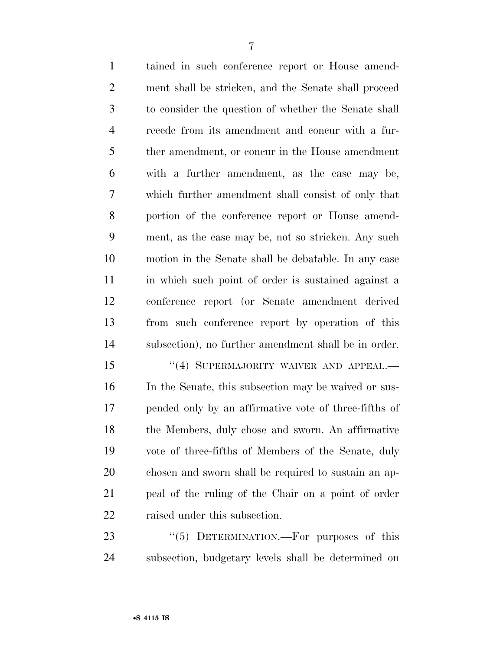tained in such conference report or House amend- ment shall be stricken, and the Senate shall proceed to consider the question of whether the Senate shall recede from its amendment and concur with a fur- ther amendment, or concur in the House amendment with a further amendment, as the case may be, which further amendment shall consist of only that portion of the conference report or House amend- ment, as the case may be, not so stricken. Any such motion in the Senate shall be debatable. In any case in which such point of order is sustained against a

 conference report (or Senate amendment derived from such conference report by operation of this subsection), no further amendment shall be in order.

15 "(4) SUPERMAJORITY WAIVER AND APPEAL.— In the Senate, this subsection may be waived or sus- pended only by an affirmative vote of three-fifths of the Members, duly chose and sworn. An affirmative vote of three-fifths of Members of the Senate, duly chosen and sworn shall be required to sustain an ap- peal of the ruling of the Chair on a point of order 22 raised under this subsection.

23 "(5) DETERMINATION.—For purposes of this subsection, budgetary levels shall be determined on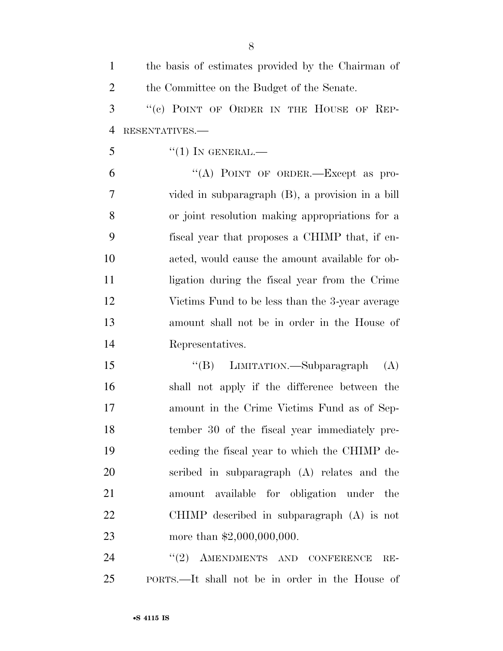| $\mathbf{1}$   | the basis of estimates provided by the Chairman of |
|----------------|----------------------------------------------------|
| $\overline{2}$ | the Committee on the Budget of the Senate.         |
| 3              | "(c) POINT OF ORDER IN THE HOUSE OF REP-           |
| $\overline{4}$ | RESENTATIVES.-                                     |
| 5              | $``(1)$ IN GENERAL.—                               |
| 6              | "(A) POINT OF ORDER. Except as pro-                |
| 7              | vided in subparagraph (B), a provision in a bill   |
| 8              | or joint resolution making appropriations for a    |
| 9              | fiscal year that proposes a CHIMP that, if en-     |
| 10             | acted, would cause the amount available for ob-    |
| 11             | ligation during the fiscal year from the Crime     |
| 12             | Victims Fund to be less than the 3-year average    |
| 13             | amount shall not be in order in the House of       |
| 14             | Representatives.                                   |
| 15             | "(B) LIMITATION.—Subparagraph<br>(A)               |
| 16             | shall not apply if the difference between the      |
| 17             | amount in the Crime Victims Fund as of Sep-        |
| 18             | tember 30 of the fiscal year immediately pre-      |
| 19             | eeding the fiscal year to which the CHIMP de-      |
| 20             | scribed in subparagraph (A) relates and the        |
| 21             | amount available for obligation under the          |
| 22             | CHIMP described in subparagraph $(A)$ is not       |
| 23             | more than $$2,000,000,000$ .                       |
| 24             | "(2) AMENDMENTS AND CONFERENCE<br>$RE-$            |
| 25             | PORTS.—It shall not be in order in the House of    |